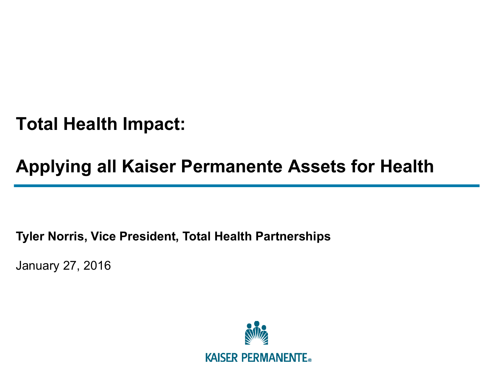**Total Health Impact:** 

# **Applying all Kaiser Permanente Assets for Health**

**Tyler Norris, Vice President, Total Health Partnerships** 

January 27, 2016

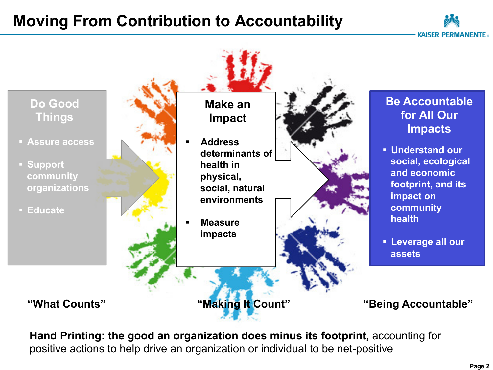## **Moving From Contribution to Accountability**





**Hand Printing: the good an organization does minus its footprint,** accounting for positive actions to help drive an organization or individual to be net-positive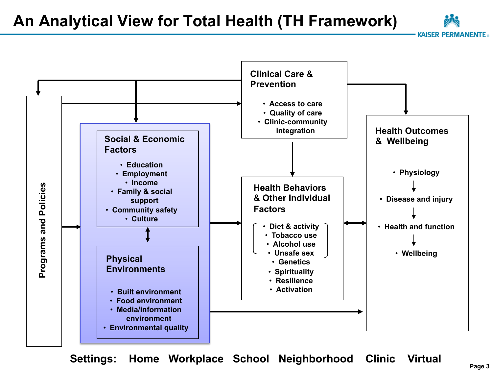**An Analytical View for Total Health (TH Framework)** 

**Clinical Care & Prevention**  • **Access to care**  • **Quality of care**  • **Clinic-community integration Health Outcomes Social & Economic & Wellbeing Factors**  • **Education**  • **Physiology**  • **Employment**  • **Income Programs and Policies**  Programs and Policies **Health Behaviors**  • **Family & social & Other Individual**  • **Disease and injury support Factors**  • **Community safety**  • **Culture**  • **Health and function**  • **Diet & activity** • **Tobacco use**  • **Alcohol use**  • **Unsafe sex**  • **Wellbeing Physical**  • **Genetics Environments** • **Spirituality**  • **Resilience**  • **Activation**  • **Built environment**  • **Food environment**  • **Media/information environment**  • **Environmental quality** 

**Settings: Home Workplace School Neighborhood Clinic Virtual** 

**KAISER PERMANENTE**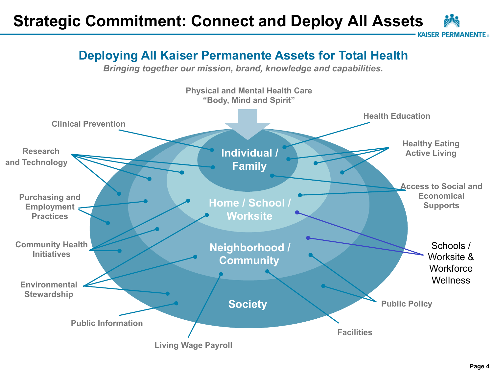## **Strategic Commitment: Connect and Deploy All Assets**

AISFR PFRMANFNTF .

#### **Deploying All Kaiser Permanente Assets for Total Health**

*Bringing together our mission, brand, knowledge and capabilities.* 

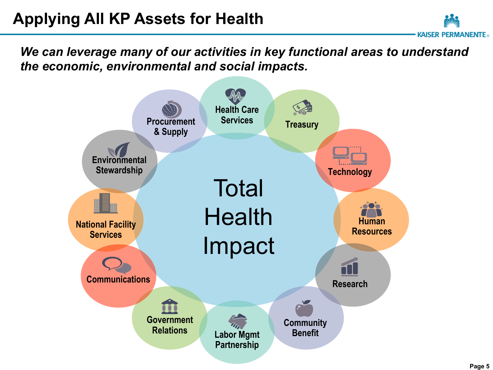*We can leverage many of our activities in key functional areas to understand the economic, environmental and social impacts.* 



KAISFR PFRMANFNTF ..